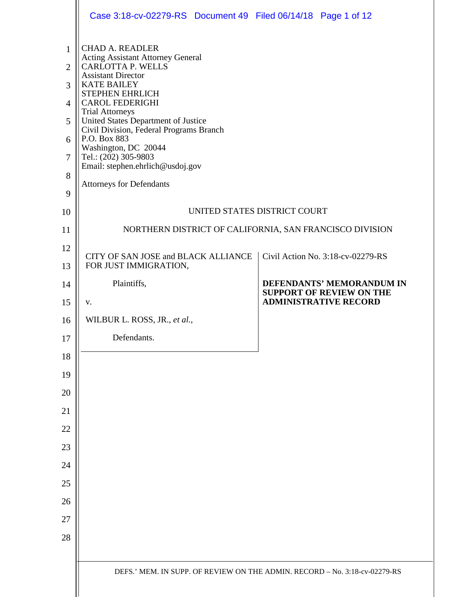|                                                                           | Case 3:18-cv-02279-RS Document 49 Filed 06/14/18 Page 1 of 12                                                                                                                                                                                                                                                                                                                                                                                            |                                                              |  |  |  |
|---------------------------------------------------------------------------|----------------------------------------------------------------------------------------------------------------------------------------------------------------------------------------------------------------------------------------------------------------------------------------------------------------------------------------------------------------------------------------------------------------------------------------------------------|--------------------------------------------------------------|--|--|--|
| $\mathbf{1}$<br>$\overline{2}$<br>3<br>$\overline{4}$<br>5<br>6<br>7<br>8 | <b>CHAD A. READLER</b><br><b>Acting Assistant Attorney General</b><br><b>CARLOTTA P. WELLS</b><br><b>Assistant Director</b><br><b>KATE BAILEY</b><br><b>STEPHEN EHRLICH</b><br><b>CAROL FEDERIGHI</b><br><b>Trial Attorneys</b><br>United States Department of Justice<br>Civil Division, Federal Programs Branch<br>P.O. Box 883<br>Washington, DC 20044<br>Tel.: (202) 305-9803<br>Email: stephen.ehrlich@usdoj.gov<br><b>Attorneys for Defendants</b> |                                                              |  |  |  |
| 9                                                                         |                                                                                                                                                                                                                                                                                                                                                                                                                                                          |                                                              |  |  |  |
| 10                                                                        | UNITED STATES DISTRICT COURT                                                                                                                                                                                                                                                                                                                                                                                                                             |                                                              |  |  |  |
| 11                                                                        | NORTHERN DISTRICT OF CALIFORNIA, SAN FRANCISCO DIVISION                                                                                                                                                                                                                                                                                                                                                                                                  |                                                              |  |  |  |
| 12<br>13                                                                  | CITY OF SAN JOSE and BLACK ALLIANCE<br>FOR JUST IMMIGRATION,                                                                                                                                                                                                                                                                                                                                                                                             | Civil Action No. 3:18-cv-02279-RS                            |  |  |  |
| 14                                                                        | Plaintiffs,                                                                                                                                                                                                                                                                                                                                                                                                                                              | DEFENDANTS' MEMORANDUM IN<br><b>SUPPORT OF REVIEW ON THE</b> |  |  |  |
| 15                                                                        | V.                                                                                                                                                                                                                                                                                                                                                                                                                                                       | <b>ADMINISTRATIVE RECORD</b>                                 |  |  |  |
| 16                                                                        | WILBUR L. ROSS, JR., et al.,                                                                                                                                                                                                                                                                                                                                                                                                                             |                                                              |  |  |  |
| 17                                                                        | Defendants.                                                                                                                                                                                                                                                                                                                                                                                                                                              |                                                              |  |  |  |
| 18                                                                        |                                                                                                                                                                                                                                                                                                                                                                                                                                                          |                                                              |  |  |  |
| 19                                                                        |                                                                                                                                                                                                                                                                                                                                                                                                                                                          |                                                              |  |  |  |
| 20<br>21                                                                  |                                                                                                                                                                                                                                                                                                                                                                                                                                                          |                                                              |  |  |  |
| 22                                                                        |                                                                                                                                                                                                                                                                                                                                                                                                                                                          |                                                              |  |  |  |
| 23                                                                        |                                                                                                                                                                                                                                                                                                                                                                                                                                                          |                                                              |  |  |  |
| 24                                                                        |                                                                                                                                                                                                                                                                                                                                                                                                                                                          |                                                              |  |  |  |
| 25                                                                        |                                                                                                                                                                                                                                                                                                                                                                                                                                                          |                                                              |  |  |  |
| 26                                                                        |                                                                                                                                                                                                                                                                                                                                                                                                                                                          |                                                              |  |  |  |
| 27                                                                        |                                                                                                                                                                                                                                                                                                                                                                                                                                                          |                                                              |  |  |  |
| 28                                                                        |                                                                                                                                                                                                                                                                                                                                                                                                                                                          |                                                              |  |  |  |
|                                                                           | DEFS.' MEM. IN SUPP. OF REVIEW ON THE ADMIN. RECORD - No. 3:18-cv-02279-RS                                                                                                                                                                                                                                                                                                                                                                               |                                                              |  |  |  |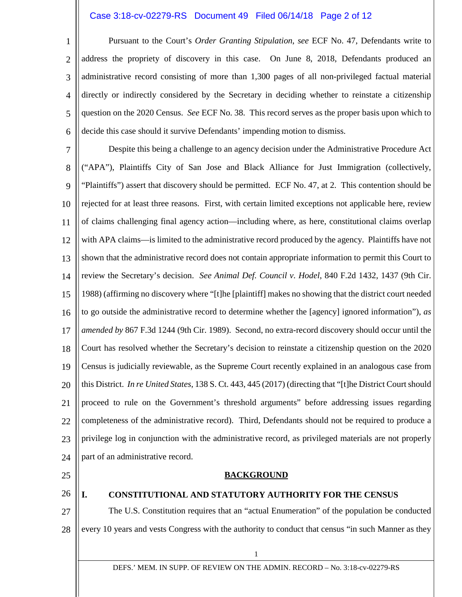# Case 3:18-cv-02279-RS Document 49 Filed 06/14/18 Page 2 of 12

3 Pursuant to the Court's *Order Granting Stipulation*, *see* ECF No. 47, Defendants write to address the propriety of discovery in this case. On June 8, 2018, Defendants produced an administrative record consisting of more than 1,300 pages of all non-privileged factual material directly or indirectly considered by the Secretary in deciding whether to reinstate a citizenship question on the 2020 Census. *See* ECF No. 38. This record serves as the proper basis upon which to decide this case should it survive Defendants' impending motion to dismiss.

7 8 9 10 11 12 13 14 15 16 17 18 19 20 21 22 23 24 Despite this being a challenge to an agency decision under the Administrative Procedure Act ("APA"), Plaintiffs City of San Jose and Black Alliance for Just Immigration (collectively, "Plaintiffs") assert that discovery should be permitted. ECF No. 47, at 2. This contention should be rejected for at least three reasons. First, with certain limited exceptions not applicable here, review of claims challenging final agency action—including where, as here, constitutional claims overlap with APA claims—is limited to the administrative record produced by the agency. Plaintiffs have not shown that the administrative record does not contain appropriate information to permit this Court to review the Secretary's decision. *See Animal Def. Council v. Hodel*, 840 F.2d 1432, 1437 (9th Cir. 1988) (affirming no discovery where "[t]he [plaintiff] makes no showing that the district court needed to go outside the administrative record to determine whether the [agency] ignored information"), *as amended by* 867 F.3d 1244 (9th Cir. 1989). Second, no extra-record discovery should occur until the Court has resolved whether the Secretary's decision to reinstate a citizenship question on the 2020 Census is judicially reviewable, as the Supreme Court recently explained in an analogous case from this District. *In re United States*, 138 S. Ct. 443, 445 (2017) (directing that "[t]he District Court should proceed to rule on the Government's threshold arguments" before addressing issues regarding completeness of the administrative record). Third, Defendants should not be required to produce a privilege log in conjunction with the administrative record, as privileged materials are not properly part of an administrative record.

25

1

2

4

5

6

26

## **I. CONSTITUTIONAL AND STATUTORY AUTHORITY FOR THE CENSUS**

**BACKGROUND**

27 28 The U.S. Constitution requires that an "actual Enumeration" of the population be conducted every 10 years and vests Congress with the authority to conduct that census "in such Manner as they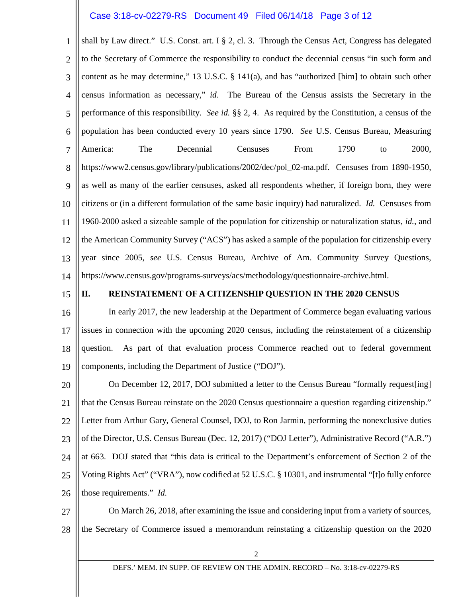# Case 3:18-cv-02279-RS Document 49 Filed 06/14/18 Page 3 of 12

1 2 3 4 5 6 7 8 9 10 11 12 13 14 shall by Law direct." U.S. Const. art. I § 2, cl. 3. Through the Census Act, Congress has delegated to the Secretary of Commerce the responsibility to conduct the decennial census "in such form and content as he may determine," 13 U.S.C. § 141(a), and has "authorized [him] to obtain such other census information as necessary," *id*. The Bureau of the Census assists the Secretary in the performance of this responsibility. *See id.* §§ 2, 4. As required by the Constitution, a census of the population has been conducted every 10 years since 1790. *See* U.S. Census Bureau, Measuring America: The Decennial Censuses From 1790 to 2000, https://www2.census.gov/library/publications/2002/dec/pol\_02-ma.pdf. Censuses from 1890-1950, as well as many of the earlier censuses, asked all respondents whether, if foreign born, they were citizens or (in a different formulation of the same basic inquiry) had naturalized. *Id.* Censuses from 1960-2000 asked a sizeable sample of the population for citizenship or naturalization status, *id.*, and the American Community Survey ("ACS") has asked a sample of the population for citizenship every year since 2005, *see* U.S. Census Bureau, Archive of Am. Community Survey Questions, https://www.census.gov/programs-surveys/acs/methodology/questionnaire-archive.html.

15

#### **II. REINSTATEMENT OF A CITIZENSHIP QUESTION IN THE 2020 CENSUS**

16 17 18 19 In early 2017, the new leadership at the Department of Commerce began evaluating various issues in connection with the upcoming 2020 census, including the reinstatement of a citizenship question. As part of that evaluation process Commerce reached out to federal government components, including the Department of Justice ("DOJ").

20 21 22 23 24 25 26 On December 12, 2017, DOJ submitted a letter to the Census Bureau "formally request[ing] that the Census Bureau reinstate on the 2020 Census questionnaire a question regarding citizenship." Letter from Arthur Gary, General Counsel, DOJ, to Ron Jarmin, performing the nonexclusive duties of the Director, U.S. Census Bureau (Dec. 12, 2017) ("DOJ Letter"), Administrative Record ("A.R.") at 663. DOJ stated that "this data is critical to the Department's enforcement of Section 2 of the Voting Rights Act" ("VRA"), now codified at 52 U.S.C. § 10301, and instrumental "[t]o fully enforce those requirements." *Id.*

27 28 On March 26, 2018, after examining the issue and considering input from a variety of sources, the Secretary of Commerce issued a memorandum reinstating a citizenship question on the 2020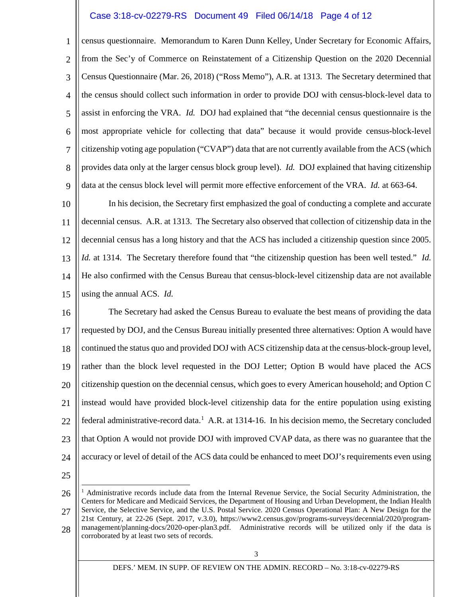## Case 3:18-cv-02279-RS Document 49 Filed 06/14/18 Page 4 of 12

1 2 3 4 5 6 7 8 9 census questionnaire. Memorandum to Karen Dunn Kelley, Under Secretary for Economic Affairs, from the Sec'y of Commerce on Reinstatement of a Citizenship Question on the 2020 Decennial Census Questionnaire (Mar. 26, 2018) ("Ross Memo"), A.R. at 1313. The Secretary determined that the census should collect such information in order to provide DOJ with census-block-level data to assist in enforcing the VRA. *Id.* DOJ had explained that "the decennial census questionnaire is the most appropriate vehicle for collecting that data" because it would provide census-block-level citizenship voting age population ("CVAP") data that are not currently available from the ACS (which provides data only at the larger census block group level). *Id.* DOJ explained that having citizenship data at the census block level will permit more effective enforcement of the VRA. *Id.* at 663-64.

10 11 12 13 14 15 In his decision, the Secretary first emphasized the goal of conducting a complete and accurate decennial census. A.R. at 1313. The Secretary also observed that collection of citizenship data in the decennial census has a long history and that the ACS has included a citizenship question since 2005. *Id.* at 1314. The Secretary therefore found that "the citizenship question has been well tested." *Id.*  He also confirmed with the Census Bureau that census-block-level citizenship data are not available using the annual ACS. *Id.* 

16 17 18 19 20 21 22 23 24 The Secretary had asked the Census Bureau to evaluate the best means of providing the data requested by DOJ, and the Census Bureau initially presented three alternatives: Option A would have continued the status quo and provided DOJ with ACS citizenship data at the census-block-group level, rather than the block level requested in the DOJ Letter; Option B would have placed the ACS citizenship question on the decennial census, which goes to every American household; and Option C instead would have provided block-level citizenship data for the entire population using existing federal administrative-record data.<sup>[1](#page-3-0)</sup> A.R. at 1314-16. In his decision memo, the Secretary concluded that Option A would not provide DOJ with improved CVAP data, as there was no guarantee that the accuracy or level of detail of the ACS data could be enhanced to meet DOJ's requirements even using

25

<span id="page-3-0"></span><sup>26</sup> 27 28 Ξ <sup>1</sup> Administrative records include data from the Internal Revenue Service, the Social Security Administration, the Centers for Medicare and Medicaid Services, the Department of Housing and Urban Development, the Indian Health Service, the Selective Service, and the U.S. Postal Service*.* 2020 Census Operational Plan: A New Design for the 21st Century, at 22-26 (Sept. 2017, v.3.0), https://www2.census.gov/programs-surveys/decennial/2020/programmanagement/planning-docs/2020-oper-plan3.pdf. Administrative records will be utilized only if the data is corroborated by at least two sets of records.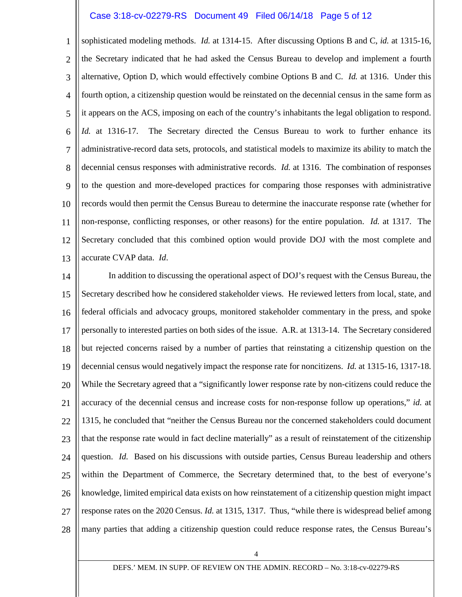# Case 3:18-cv-02279-RS Document 49 Filed 06/14/18 Page 5 of 12

1 2 3 4 5 6 7 8 9 10 11 12 13 sophisticated modeling methods. *Id.* at 1314-15. After discussing Options B and C, *id.* at 1315-16, the Secretary indicated that he had asked the Census Bureau to develop and implement a fourth alternative, Option D, which would effectively combine Options B and C. *Id.* at 1316. Under this fourth option, a citizenship question would be reinstated on the decennial census in the same form as it appears on the ACS, imposing on each of the country's inhabitants the legal obligation to respond. *Id.* at 1316-17. The Secretary directed the Census Bureau to work to further enhance its administrative-record data sets, protocols, and statistical models to maximize its ability to match the decennial census responses with administrative records. *Id.* at 1316. The combination of responses to the question and more-developed practices for comparing those responses with administrative records would then permit the Census Bureau to determine the inaccurate response rate (whether for non-response, conflicting responses, or other reasons) for the entire population. *Id.* at 1317. The Secretary concluded that this combined option would provide DOJ with the most complete and accurate CVAP data. *Id*.

14 15 16 17 18 19 20 21 22 23 24 25 26 27 28 In addition to discussing the operational aspect of DOJ's request with the Census Bureau, the Secretary described how he considered stakeholder views. He reviewed letters from local, state, and federal officials and advocacy groups, monitored stakeholder commentary in the press, and spoke personally to interested parties on both sides of the issue. A.R. at 1313-14. The Secretary considered but rejected concerns raised by a number of parties that reinstating a citizenship question on the decennial census would negatively impact the response rate for noncitizens. *Id.* at 1315-16, 1317-18. While the Secretary agreed that a "significantly lower response rate by non-citizens could reduce the accuracy of the decennial census and increase costs for non-response follow up operations," *id.* at 1315, he concluded that "neither the Census Bureau nor the concerned stakeholders could document that the response rate would in fact decline materially" as a result of reinstatement of the citizenship question. *Id.* Based on his discussions with outside parties, Census Bureau leadership and others within the Department of Commerce, the Secretary determined that, to the best of everyone's knowledge, limited empirical data exists on how reinstatement of a citizenship question might impact response rates on the 2020 Census. *Id.* at 1315, 1317. Thus, "while there is widespread belief among many parties that adding a citizenship question could reduce response rates, the Census Bureau's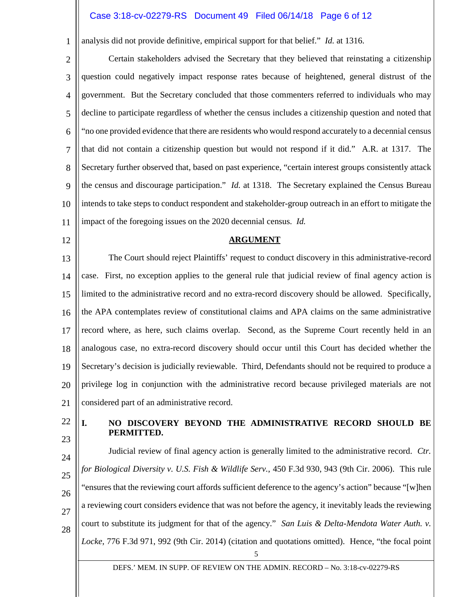### Case 3:18-cv-02279-RS Document 49 Filed 06/14/18 Page 6 of 12

analysis did not provide definitive, empirical support for that belief." *Id.* at 1316.

2 3 4 5 6 7 8 9 10 11 Certain stakeholders advised the Secretary that they believed that reinstating a citizenship question could negatively impact response rates because of heightened, general distrust of the government. But the Secretary concluded that those commenters referred to individuals who may decline to participate regardless of whether the census includes a citizenship question and noted that "no one provided evidence that there are residents who would respond accurately to a decennial census that did not contain a citizenship question but would not respond if it did." A.R. at 1317. The Secretary further observed that, based on past experience, "certain interest groups consistently attack the census and discourage participation." *Id.* at 1318. The Secretary explained the Census Bureau intends to take steps to conduct respondent and stakeholder-group outreach in an effort to mitigate the impact of the foregoing issues on the 2020 decennial census. *Id.*

12

1

#### **ARGUMENT**

13 14 15 16 17 18 19 20 21 The Court should reject Plaintiffs' request to conduct discovery in this administrative-record case. First, no exception applies to the general rule that judicial review of final agency action is limited to the administrative record and no extra-record discovery should be allowed. Specifically, the APA contemplates review of constitutional claims and APA claims on the same administrative record where, as here, such claims overlap. Second, as the Supreme Court recently held in an analogous case, no extra-record discovery should occur until this Court has decided whether the Secretary's decision is judicially reviewable. Third, Defendants should not be required to produce a privilege log in conjunction with the administrative record because privileged materials are not considered part of an administrative record.

22 23

### **I. NO DISCOVERY BEYOND THE ADMINISTRATIVE RECORD SHOULD BE PERMITTED.**

24 25 26 27 28 Judicial review of final agency action is generally limited to the administrative record. *Ctr. for Biological Diversity v. U.S. Fish & Wildlife Serv.*, 450 F.3d 930, 943 (9th Cir. 2006). This rule "ensures that the reviewing court affords sufficient deference to the agency's action" because "[w]hen a reviewing court considers evidence that was not before the agency, it inevitably leads the reviewing court to substitute its judgment for that of the agency." *San Luis & Delta-Mendota Water Auth. v. Locke*, 776 F.3d 971, 992 (9th Cir. 2014) (citation and quotations omitted). Hence, "the focal point

5

DEFS.' MEM. IN SUPP. OF REVIEW ON THE ADMIN. RECORD – No. 3:18-cv-02279-RS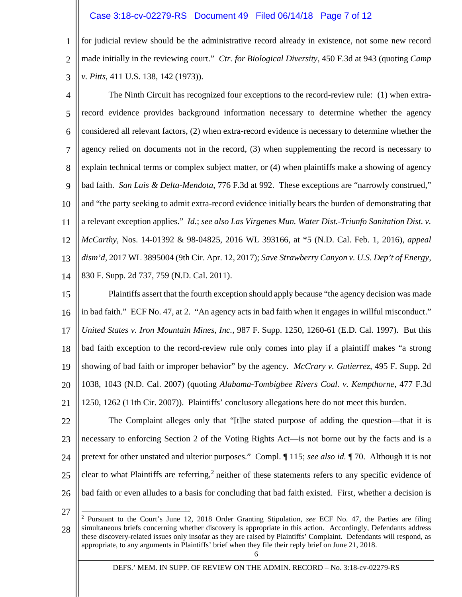#### Case 3:18-cv-02279-RS Document 49 Filed 06/14/18 Page 7 of 12

1 2 3 for judicial review should be the administrative record already in existence, not some new record made initially in the reviewing court." *Ctr. for Biological Diversity*, 450 F.3d at 943 (quoting *Camp v. Pitts*, 411 U.S. 138, 142 (1973)).

4 5 6 7 8 9 10 11 12 13 14 The Ninth Circuit has recognized four exceptions to the record-review rule: (1) when extrarecord evidence provides background information necessary to determine whether the agency considered all relevant factors, (2) when extra-record evidence is necessary to determine whether the agency relied on documents not in the record, (3) when supplementing the record is necessary to explain technical terms or complex subject matter, or (4) when plaintiffs make a showing of agency bad faith. *San Luis & Delta-Mendota*, 776 F.3d at 992. These exceptions are "narrowly construed," and "the party seeking to admit extra-record evidence initially bears the burden of demonstrating that a relevant exception applies." *Id.*; *see also Las Virgenes Mun. Water Dist.-Triunfo Sanitation Dist. v. McCarthy*, Nos. 14-01392 & 98-04825, 2016 WL 393166, at \*5 (N.D. Cal. Feb. 1, 2016), *appeal dism'd,* 2017 WL 3895004 (9th Cir. Apr. 12, 2017); *Save Strawberry Canyon v. U.S. Dep't of Energy*, 830 F. Supp. 2d 737, 759 (N.D. Cal. 2011).

15 16 17 18 19 20 21 Plaintiffs assert that the fourth exception should apply because "the agency decision was made in bad faith." ECF No. 47, at 2. "An agency acts in bad faith when it engages in willful misconduct." *United States v. Iron Mountain Mines, Inc.,* 987 F. Supp. 1250, 1260-61 (E.D. Cal. 1997). But this bad faith exception to the record-review rule only comes into play if a plaintiff makes "a strong showing of bad faith or improper behavior" by the agency. *McCrary v. Gutierrez*, 495 F. Supp. 2d 1038, 1043 (N.D. Cal. 2007) (quoting *Alabama-Tombigbee Rivers Coal. v. Kempthorne*, 477 F.3d 1250, 1262 (11th Cir. 2007)). Plaintiffs' conclusory allegations here do not meet this burden.

22 23 24 25 26 The Complaint alleges only that "[t]he stated purpose of adding the question—that it is necessary to enforcing Section 2 of the Voting Rights Act—is not borne out by the facts and is a pretext for other unstated and ulterior purposes." Compl. ¶ 115; *see also id.* ¶ 70. Although it is not clear to what Plaintiffs are referring,<sup>[2](#page-6-0)</sup> neither of these statements refers to any specific evidence of bad faith or even alludes to a basis for concluding that bad faith existed. First, whether a decision is

27

Ξ

<span id="page-6-0"></span><sup>28</sup> <sup>2</sup> Pursuant to the Court's June 12, 2018 Order Granting Stipulation, *see* ECF No. 47, the Parties are filing simultaneous briefs concerning whether discovery is appropriate in this action. Accordingly, Defendants address these discovery-related issues only insofar as they are raised by Plaintiffs' Complaint. Defendants will respond, as appropriate, to any arguments in Plaintiffs' brief when they file their reply brief on June 21, 2018.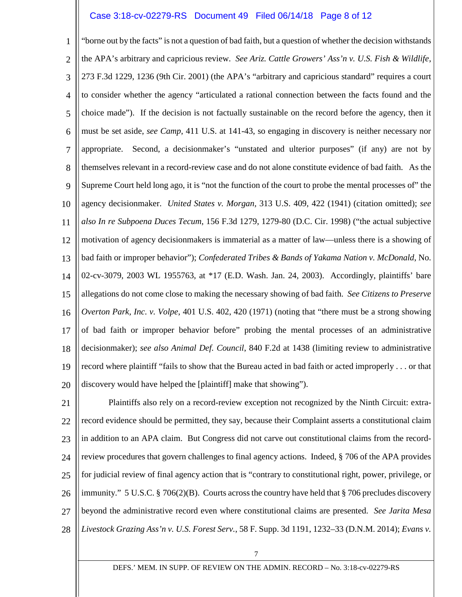# Case 3:18-cv-02279-RS Document 49 Filed 06/14/18 Page 8 of 12

1 2 3 4 5 6 7 8 9 10 11 12 13 14 15 16 17 18 19 20 "borne out by the facts" is not a question of bad faith, but a question of whether the decision withstands the APA's arbitrary and capricious review. *See Ariz. Cattle Growers' Ass'n v. U.S. Fish & Wildlife*, 273 F.3d 1229, 1236 (9th Cir. 2001) (the APA's "arbitrary and capricious standard" requires a court to consider whether the agency "articulated a rational connection between the facts found and the choice made"). If the decision is not factually sustainable on the record before the agency, then it must be set aside, *see Camp*, 411 U.S. at 141-43, so engaging in discovery is neither necessary nor appropriate. Second, a decisionmaker's "unstated and ulterior purposes" (if any) are not by themselves relevant in a record-review case and do not alone constitute evidence of bad faith. As the Supreme Court held long ago, it is "not the function of the court to probe the mental processes of" the agency decisionmaker. *United States v. Morgan,* 313 U.S. 409, 422 (1941) (citation omitted); *see also In re Subpoena Duces Tecum*, 156 F.3d 1279, 1279-80 (D.C. Cir. 1998) ("the actual subjective motivation of agency decisionmakers is immaterial as a matter of law—unless there is a showing of bad faith or improper behavior"); *Confederated Tribes & Bands of Yakama Nation v. McDonald*, No. 02-cv-3079, 2003 WL 1955763, at \*17 (E.D. Wash. Jan. 24, 2003). Accordingly, plaintiffs' bare allegations do not come close to making the necessary showing of bad faith. *See Citizens to Preserve Overton Park, Inc. v. Volpe*, 401 U.S. 402, 420 (1971) (noting that "there must be a strong showing of bad faith or improper behavior before" probing the mental processes of an administrative decisionmaker); *see also Animal Def. Council*, 840 F.2d at 1438 (limiting review to administrative record where plaintiff "fails to show that the Bureau acted in bad faith or acted improperly . . . or that discovery would have helped the [plaintiff] make that showing").

21 22 23 24 25 26 27 28 Plaintiffs also rely on a record-review exception not recognized by the Ninth Circuit: extrarecord evidence should be permitted, they say, because their Complaint asserts a constitutional claim in addition to an APA claim. But Congress did not carve out constitutional claims from the recordreview procedures that govern challenges to final agency actions. Indeed, § 706 of the APA provides for judicial review of final agency action that is "contrary to constitutional right, power, privilege, or immunity." 5 U.S.C. § 706(2)(B). Courts across the country have held that § 706 precludes discovery beyond the administrative record even where constitutional claims are presented. *See Jarita Mesa Livestock Grazing Ass'n v. U.S. Forest Serv.*, 58 F. Supp. 3d 1191, 1232–33 (D.N.M. 2014); *Evans v.* 

DEFS.' MEM. IN SUPP. OF REVIEW ON THE ADMIN. RECORD – No. 3:18-cv-02279-RS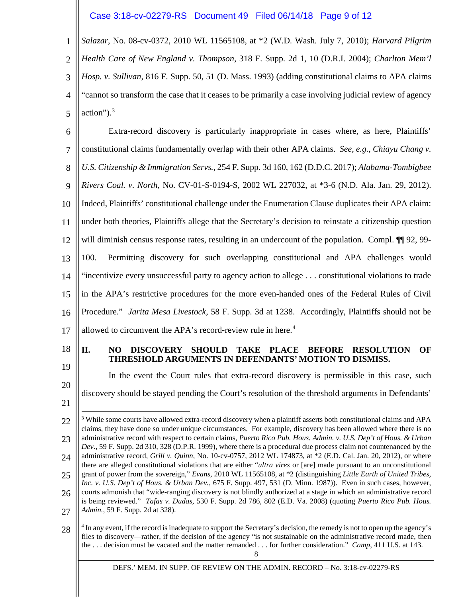Case 3:18-cv-02279-RS Document 49 Filed 06/14/18 Page 9 of 12

1 2 3 4 5 *Salazar*, No. 08-cv-0372, 2010 WL 11565108, at \*2 (W.D. Wash. July 7, 2010); *Harvard Pilgrim Health Care of New England v. Thompson*, 318 F. Supp. 2d 1, 10 (D.R.I. 2004); *Charlton Mem'l Hosp. v. Sullivan*, 816 F. Supp. 50, 51 (D. Mass. 1993) (adding constitutional claims to APA claims "cannot so transform the case that it ceases to be primarily a case involving judicial review of agency action" $)$ .<sup>[3](#page-8-0)</sup>

6 7 8 9 10 11 12 13 14 15 16 17 Extra-record discovery is particularly inappropriate in cases where, as here, Plaintiffs' constitutional claims fundamentally overlap with their other APA claims. *See, e.g.*, *Chiayu Chang v. U.S. Citizenship & Immigration Servs.*, 254 F. Supp. 3d 160, 162 (D.D.C. 2017); *Alabama-Tombigbee Rivers Coal. v. North*, No. CV-01-S-0194-S, 2002 WL 227032, at \*3-6 (N.D. Ala. Jan. 29, 2012). Indeed, Plaintiffs' constitutional challenge under the Enumeration Clause duplicates their APA claim: under both theories, Plaintiffs allege that the Secretary's decision to reinstate a citizenship question will diminish census response rates, resulting in an undercount of the population. Compl.  $\P$  92, 99-100. Permitting discovery for such overlapping constitutional and APA challenges would "incentivize every unsuccessful party to agency action to allege . . . constitutional violations to trade in the APA's restrictive procedures for the more even-handed ones of the Federal Rules of Civil Procedure." *Jarita Mesa Livestock*, 58 F. Supp. 3d at 1238. Accordingly, Plaintiffs should not be allowed to circumvent the APA's record-review rule in here. [4](#page-8-1)

18

19

20

#### **II. NO DISCOVERY SHOULD TAKE PLACE BEFORE RESOLUTION OF THRESHOLD ARGUMENTS IN DEFENDANTS' MOTION TO DISMISS.**

In the event the Court rules that extra-record discovery is permissible in this case, such discovery should be stayed pending the Court's resolution of the threshold arguments in Defendants'

21

Ξ

27 is being reviewed." *Tafas v. Dudas*, 530 F. Supp. 2d 786, 802 (E.D. Va. 2008) (quoting *Puerto Rico Pub. Hous. Admin.*, 59 F. Supp. 2d at 328).

<span id="page-8-1"></span>28 <sup>4</sup> In any event, if the record is inadequate to support the Secretary's decision, the remedy is not to open up the agency's files to discovery—rather, if the decision of the agency "is not sustainable on the administrative record made, then the . . . decision must be vacated and the matter remanded . . . for further consideration." *Camp*, 411 U.S. at 143.

8

<span id="page-8-0"></span><sup>22</sup> 23 24 25 26 <sup>3</sup> While some courts have allowed extra-record discovery when a plaintiff asserts both constitutional claims and APA claims, they have done so under unique circumstances. For example, discovery has been allowed where there is no administrative record with respect to certain claims, *Puerto Rico Pub. Hous. Admin. v. U.S. Dep't of Hous. & Urban Dev.*, 59 F. Supp. 2d 310, 328 (D.P.R. 1999), where there is a procedural due process claim not countenanced by the administrative record, *Grill v. Quinn*, No. 10-cv-0757, 2012 WL 174873, at \*2 (E.D. Cal. Jan. 20, 2012), or where there are alleged constitutional violations that are either "*ultra vires* or [are] made pursuant to an unconstitutional grant of power from the sovereign," *Evans*, 2010 WL 11565108, at \*2 (distinguishing *Little Earth of United Tribes, Inc. v. U.S. Dep't of Hous. & Urban Dev.*, 675 F. Supp. 497, 531 (D. Minn. 1987)). Even in such cases, however, courts admonish that "wide-ranging discovery is not blindly authorized at a stage in which an administrative record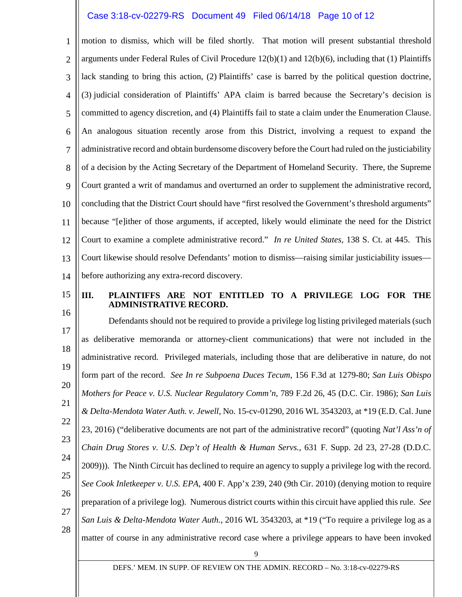### Case 3:18-cv-02279-RS Document 49 Filed 06/14/18 Page 10 of 12

1 2 3 4 5 6 7 8 9 10 11 12 13 14 motion to dismiss, which will be filed shortly. That motion will present substantial threshold arguments under Federal Rules of Civil Procedure  $12(b)(1)$  and  $12(b)(6)$ , including that (1) Plaintiffs lack standing to bring this action, (2) Plaintiffs' case is barred by the political question doctrine, (3) judicial consideration of Plaintiffs' APA claim is barred because the Secretary's decision is committed to agency discretion, and (4) Plaintiffs fail to state a claim under the Enumeration Clause. An analogous situation recently arose from this District, involving a request to expand the administrative record and obtain burdensome discovery before the Court had ruled on the justiciability of a decision by the Acting Secretary of the Department of Homeland Security. There, the Supreme Court granted a writ of mandamus and overturned an order to supplement the administrative record, concluding that the District Court should have "first resolved the Government's threshold arguments" because "[e]ither of those arguments, if accepted, likely would eliminate the need for the District Court to examine a complete administrative record." *In re United States*, 138 S. Ct. at 445. This Court likewise should resolve Defendants' motion to dismiss—raising similar justiciability issues before authorizing any extra-record discovery.

15

## **III. PLAINTIFFS ARE NOT ENTITLED TO A PRIVILEGE LOG FOR THE ADMINISTRATIVE RECORD.**

16 17 18 19 20 21 22 23 24 25 26 27 28 Defendants should not be required to provide a privilege log listing privileged materials (such as deliberative memoranda or attorney-client communications) that were not included in the administrative record. Privileged materials, including those that are deliberative in nature, do not form part of the record. *See In re Subpoena Duces Tecum*, 156 F.3d at 1279-80; *San Luis Obispo Mothers for Peace v. U.S. Nuclear Regulatory Comm'n*, 789 F.2d 26, 45 (D.C. Cir. 1986); *San Luis & Delta-Mendota Water Auth. v. Jewell*, No. 15-cv-01290, 2016 WL 3543203, at \*19 (E.D. Cal. June 23, 2016) ("deliberative documents are not part of the administrative record" (quoting *Nat'l Ass'n of Chain Drug Stores v. U.S. Dep't of Health & Human Servs.,* 631 F. Supp. 2d 23, 27-28 (D.D.C. 2009)))*.* The Ninth Circuit has declined to require an agency to supply a privilege log with the record. *See Cook Inletkeeper v. U.S. EPA*, 400 F. App'x 239, 240 (9th Cir. 2010) (denying motion to require preparation of a privilege log). Numerous district courts within this circuit have applied this rule. *See San Luis & Delta-Mendota Water Auth.*, 2016 WL 3543203, at \*19 ("To require a privilege log as a matter of course in any administrative record case where a privilege appears to have been invoked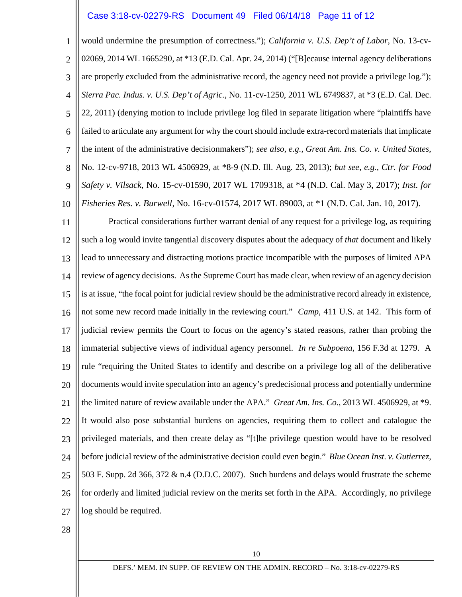#### Case 3:18-cv-02279-RS Document 49 Filed 06/14/18 Page 11 of 12

1 2 3 4 5 6 7 8 9 10 would undermine the presumption of correctness."); *California v. U.S. Dep't of Labor*, No. 13-cv-02069, 2014 WL 1665290, at \*13 (E.D. Cal. Apr. 24, 2014) ("[B]ecause internal agency deliberations are properly excluded from the administrative record, the agency need not provide a privilege log."); *Sierra Pac. Indus. v. U.S. Dep't of Agric.*, No. 11-cv-1250, 2011 WL 6749837, at \*3 (E.D. Cal. Dec. 22, 2011) (denying motion to include privilege log filed in separate litigation where "plaintiffs have failed to articulate any argument for why the court should include extra-record materials that implicate the intent of the administrative decisionmakers"); *see also*, *e.g.*, *Great Am. Ins. Co. v. United States*, No. 12-cv-9718, 2013 WL 4506929, at \*8-9 (N.D. Ill. Aug. 23, 2013); *but see, e.g., Ctr. for Food Safety v. Vilsack*, No. 15-cv-01590, 2017 WL 1709318, at \*4 (N.D. Cal. May 3, 2017); *Inst. for Fisheries Res. v. Burwell*, No. 16-cv-01574, 2017 WL 89003, at \*1 (N.D. Cal. Jan. 10, 2017).

11 12 13 14 15 16 17 18 19 20 21 22 23 24 25 26 27 Practical considerations further warrant denial of any request for a privilege log, as requiring such a log would invite tangential discovery disputes about the adequacy of *that* document and likely lead to unnecessary and distracting motions practice incompatible with the purposes of limited APA review of agency decisions. As the Supreme Court has made clear, when review of an agency decision is at issue, "the focal point for judicial review should be the administrative record already in existence, not some new record made initially in the reviewing court." *Camp*, 411 U.S. at 142. This form of judicial review permits the Court to focus on the agency's stated reasons, rather than probing the immaterial subjective views of individual agency personnel. *In re Subpoena*, 156 F.3d at 1279. A rule "requiring the United States to identify and describe on a privilege log all of the deliberative documents would invite speculation into an agency's predecisional process and potentially undermine the limited nature of review available under the APA." *Great Am. Ins. Co.*, 2013 WL 4506929, at \*9. It would also pose substantial burdens on agencies, requiring them to collect and catalogue the privileged materials, and then create delay as "[t]he privilege question would have to be resolved before judicial review of the administrative decision could even begin." *Blue Ocean Inst. v. Gutierrez*, 503 F. Supp. 2d 366, 372 & n.4 (D.D.C. 2007). Such burdens and delays would frustrate the scheme for orderly and limited judicial review on the merits set forth in the APA. Accordingly, no privilege log should be required.

28